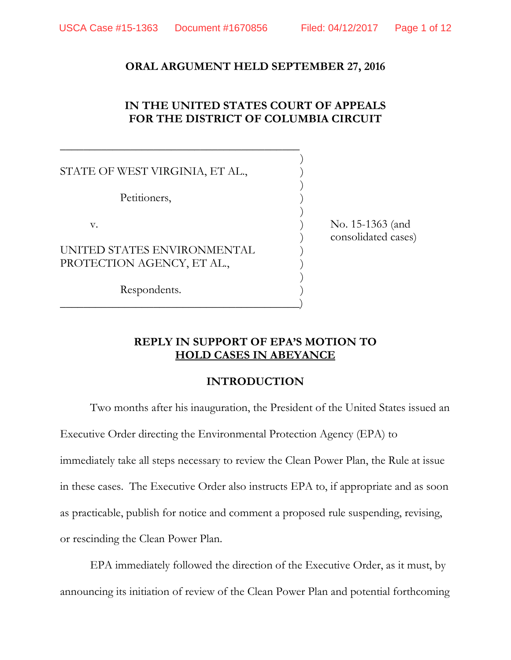#### **ORAL ARGUMENT HELD SEPTEMBER 27, 2016**

## **IN THE UNITED STATES COURT OF APPEALS FOR THE DISTRICT OF COLUMBIA CIRCUIT**

)

)

)

)

STATE OF WEST VIRGINIA, ET AL.,

 $\overline{\phantom{a}}$  , and the contract of the contract of the contract of the contract of the contract of the contract of the contract of the contract of the contract of the contract of the contract of the contract of the contrac

 $\hspace{.5em}$   $\hspace{.5em}$   $\hspace{.5em}$   $\hspace{.5em}$   $\hspace{.5em}$   $\hspace{.5em}$   $\hspace{.5em}$   $\hspace{.5em}$   $\hspace{.5em}$   $\hspace{.5em}$   $\hspace{.5em}$   $\hspace{.5em}$   $\hspace{.5em}$   $\hspace{.5em}$   $\hspace{.5em}$   $\hspace{.5em}$   $\hspace{.5em}$   $\hspace{.5em}$   $\hspace{.5em}$   $\hspace{.5em}$ 

Petitioners,

UNITED STATES ENVIRONMENTAL PROTECTION AGENCY, ET AL.,

Respondents.

v. 15-1363 (and ) consolidated cases)

#### **REPLY IN SUPPORT OF EPA'S MOTION TO HOLD CASES IN ABEYANCE**

### **INTRODUCTION**

Two months after his inauguration, the President of the United States issued an Executive Order directing the Environmental Protection Agency (EPA) to immediately take all steps necessary to review the Clean Power Plan, the Rule at issue in these cases. The Executive Order also instructs EPA to, if appropriate and as soon as practicable, publish for notice and comment a proposed rule suspending, revising, or rescinding the Clean Power Plan.

EPA immediately followed the direction of the Executive Order, as it must, by announcing its initiation of review of the Clean Power Plan and potential forthcoming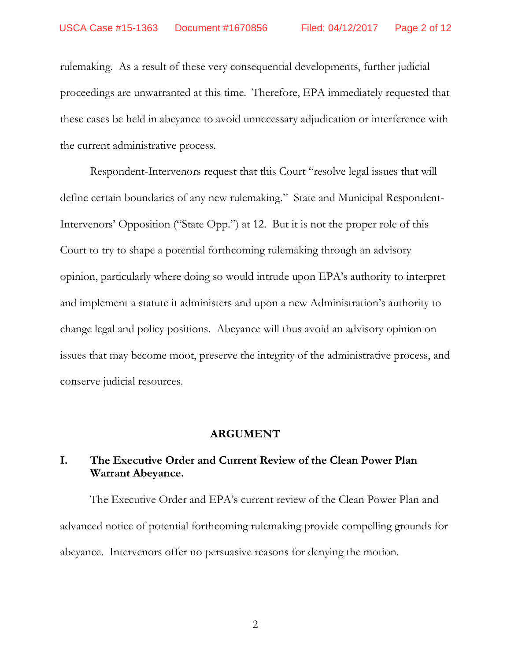rulemaking. As a result of these very consequential developments, further judicial proceedings are unwarranted at this time. Therefore, EPA immediately requested that these cases be held in abeyance to avoid unnecessary adjudication or interference with the current administrative process.

Respondent-Intervenors request that this Court "resolve legal issues that will define certain boundaries of any new rulemaking." State and Municipal Respondent-Intervenors' Opposition ("State Opp.") at 12. But it is not the proper role of this Court to try to shape a potential forthcoming rulemaking through an advisory opinion, particularly where doing so would intrude upon EPA's authority to interpret and implement a statute it administers and upon a new Administration's authority to change legal and policy positions. Abeyance will thus avoid an advisory opinion on issues that may become moot, preserve the integrity of the administrative process, and conserve judicial resources.

#### **ARGUMENT**

## **I. The Executive Order and Current Review of the Clean Power Plan Warrant Abeyance.**

The Executive Order and EPA's current review of the Clean Power Plan and advanced notice of potential forthcoming rulemaking provide compelling grounds for abeyance. Intervenors offer no persuasive reasons for denying the motion.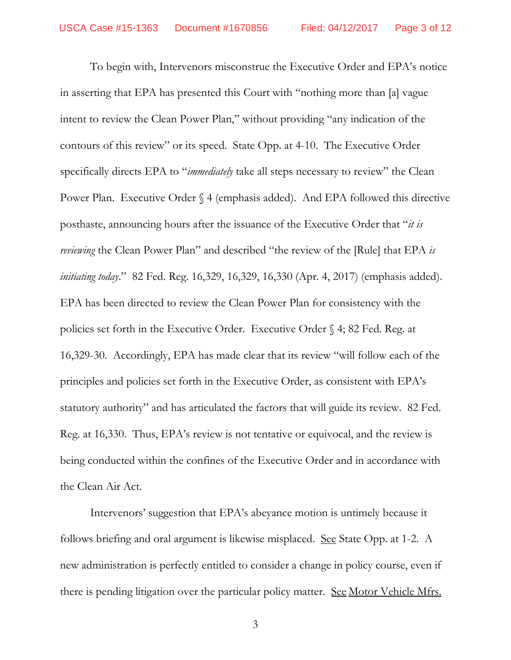To begin with, Intervenors misconstrue the Executive Order and EPA's notice in asserting that EPA has presented this Court with "nothing more than [a] vague intent to review the Clean Power Plan," without providing "any indication of the contours of this review" or its speed. State Opp. at 4-10. The Executive Order specifically directs EPA to "*immediately* take all steps necessary to review" the Clean Power Plan. Executive Order § 4 (emphasis added). And EPA followed this directive posthaste, announcing hours after the issuance of the Executive Order that "*it is reviewing* the Clean Power Plan" and described "the review of the [Rule] that EPA *is initiating today*." 82 Fed. Reg. 16,329, 16,329, 16,330 (Apr. 4, 2017) (emphasis added). EPA has been directed to review the Clean Power Plan for consistency with the policies set forth in the Executive Order. Executive Order § 4; 82 Fed. Reg. at 16,329-30. Accordingly, EPA has made clear that its review "will follow each of the principles and policies set forth in the Executive Order, as consistent with EPA's statutory authority" and has articulated the factors that will guide its review. 82 Fed. Reg. at 16,330. Thus, EPA's review is not tentative or equivocal, and the review is being conducted within the confines of the Executive Order and in accordance with the Clean Air Act.

Intervenors' suggestion that EPA's abeyance motion is untimely because it follows briefing and oral argument is likewise misplaced. <u>See</u> State Opp. at 1-2. A new administration is perfectly entitled to consider a change in policy course, even if there is pending litigation over the particular policy matter. <u>See Motor Vehicle Mfrs.</u>

<sup>3</sup>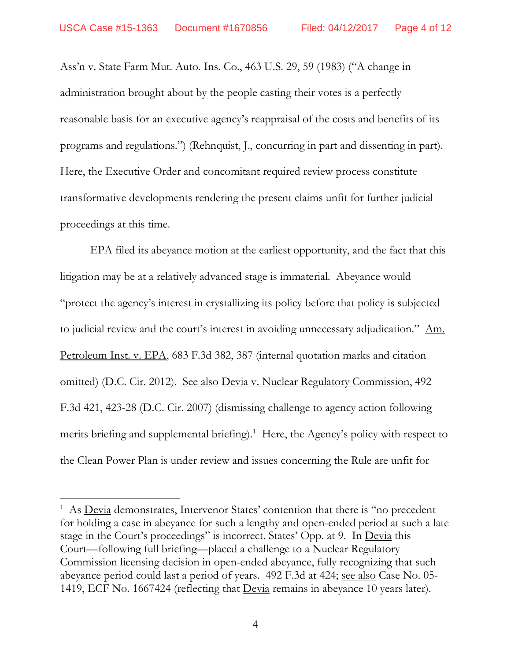Ass'n v. State Farm Mut. Auto. Ins. Co., 463 U.S. 29, 59 (1983) ("A change in administration brought about by the people casting their votes is a perfectly reasonable basis for an executive agency's reappraisal of the costs and benefits of its programs and regulations.") (Rehnquist, J., concurring in part and dissenting in part). Here, the Executive Order and concomitant required review process constitute transformative developments rendering the present claims unfit for further judicial proceedings at this time.

EPA filed its abeyance motion at the earliest opportunity, and the fact that this litigation may be at a relatively advanced stage is immaterial. Abeyance would "protect the agency's interest in crystallizing its policy before that policy is subjected to judicial review and the court's interest in avoiding unnecessary adjudication." Am. Petroleum Inst. v. EPA, 683 F.3d 382, 387 (internal quotation marks and citation omitted) (D.C. Cir. 2012). See also Devia v. Nuclear Regulatory Commission, 492 F.3d 421, 423-28 (D.C. Cir. 2007) (dismissing challenge to agency action following merits briefing and supplemental briefing).<sup>[1](#page-3-0)</sup> Here, the Agency's policy with respect to the Clean Power Plan is under review and issues concerning the Rule are unfit for

<span id="page-3-0"></span><sup>&</sup>lt;sup>1</sup> As <u>Devia</u> demonstrates, Intervenor States' contention that there is "no precedent for holding a case in abeyance for such a lengthy and open-ended period at such a late stage in the Court's proceedings" is incorrect. States' Opp. at 9. In Devia this Court—following full briefing—placed a challenge to a Nuclear Regulatory Commission licensing decision in open-ended abeyance, fully recognizing that such abeyance period could last a period of years. 492 F.3d at 424; see also Case No. 05- 1419, ECF No. 1667424 (reflecting that Devia remains in abeyance 10 years later).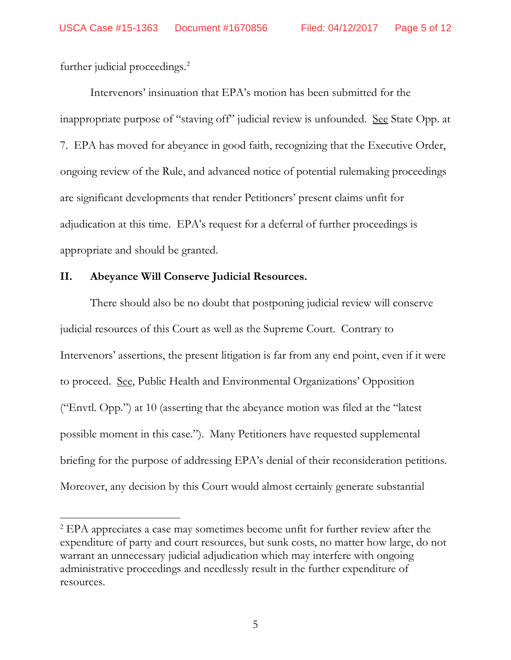further judicial proceedings.<sup>[2](#page-4-0)</sup>

Intervenors' insinuation that EPA's motion has been submitted for the inappropriate purpose of "staving off" judicial review is unfounded. See State Opp. at 7. EPA has moved for abeyance in good faith, recognizing that the Executive Order, ongoing review of the Rule, and advanced notice of potential rulemaking proceedings are significant developments that render Petitioners' present claims unfit for adjudication at this time. EPA's request for a deferral of further proceedings is appropriate and should be granted.

#### **II. Abeyance Will Conserve Judicial Resources.**

There should also be no doubt that postponing judicial review will conserve judicial resources of this Court as well as the Supreme Court. Contrary to Intervenors' assertions, the present litigation is far from any end point, even if it were to proceed. See, Public Health and Environmental Organizations' Opposition ("Envtl. Opp.") at 10 (asserting that the abeyance motion was filed at the "latest possible moment in this case."). Many Petitioners have requested supplemental briefing for the purpose of addressing EPA's denial of their reconsideration petitions. Moreover, any decision by this Court would almost certainly generate substantial

<span id="page-4-0"></span><sup>&</sup>lt;sup>2</sup> EPA appreciates a case may sometimes become unfit for further review after the expenditure of party and court resources, but sunk costs, no matter how large, do not warrant an unnecessary judicial adjudication which may interfere with ongoing administrative proceedings and needlessly result in the further expenditure of resources.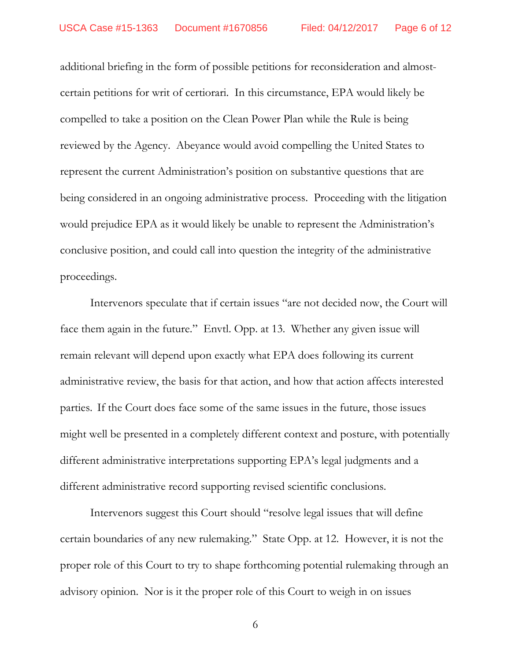additional briefing in the form of possible petitions for reconsideration and almostcertain petitions for writ of certiorari. In this circumstance, EPA would likely be compelled to take a position on the Clean Power Plan while the Rule is being reviewed by the Agency. Abeyance would avoid compelling the United States to represent the current Administration's position on substantive questions that are being considered in an ongoing administrative process. Proceeding with the litigation would prejudice EPA as it would likely be unable to represent the Administration's conclusive position, and could call into question the integrity of the administrative proceedings.

Intervenors speculate that if certain issues "are not decided now, the Court will face them again in the future." Envtl. Opp. at 13.Whether any given issue will remain relevant will depend upon exactly what EPA does following its current administrative review, the basis for that action, and how that action affects interested parties. If the Court does face some of the same issues in the future, those issues might well be presented in a completely different context and posture, with potentially different administrative interpretations supporting EPA's legal judgments and a different administrative record supporting revised scientific conclusions.

Intervenors suggest this Court should "resolve legal issues that will define certain boundaries of any new rulemaking." State Opp. at 12. However, it is not the proper role of this Court to try to shape forthcoming potential rulemaking through an advisory opinion. Nor is it the proper role of this Court to weigh in on issues

6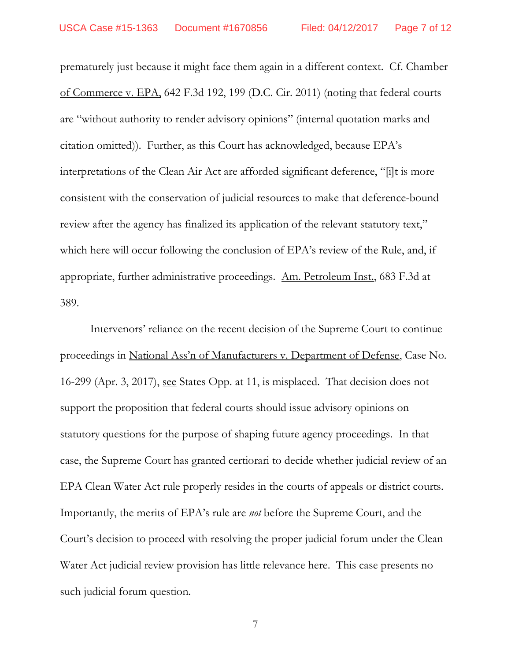prematurely just because it might face them again in a different context. Cf. Chamber of Commerce v. EPA, 642 F.3d 192, 199 (D.C. Cir. 2011) (noting that federal courts are "without authority to render advisory opinions" (internal quotation marks and citation omitted)). Further, as this Court has acknowledged, because EPA's interpretations of the Clean Air Act are afforded significant deference, "[i]t is more consistent with the conservation of judicial resources to make that deference-bound review after the agency has finalized its application of the relevant statutory text," which here will occur following the conclusion of EPA's review of the Rule, and, if appropriate, further administrative proceedings. Am. Petroleum Inst., 683 F.3d at 389.

Intervenors' reliance on the recent decision of the Supreme Court to continue proceedings in National Ass'n of Manufacturers v. Department of Defense, Case No. 16-299 (Apr. 3, 2017), see States Opp. at 11, is misplaced. That decision does not support the proposition that federal courts should issue advisory opinions on statutory questions for the purpose of shaping future agency proceedings. In that case, the Supreme Court has granted certiorari to decide whether judicial review of an EPA Clean Water Act rule properly resides in the courts of appeals or district courts. Importantly, the merits of EPA's rule are *not* before the Supreme Court, and the Court's decision to proceed with resolving the proper judicial forum under the Clean Water Act judicial review provision has little relevance here. This case presents no such judicial forum question.

7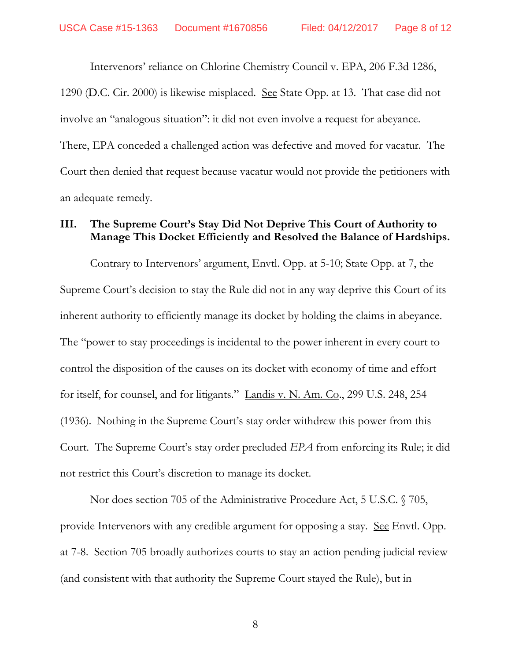Intervenors' reliance on Chlorine Chemistry Council v. EPA, 206 F.3d 1286, 1290 (D.C. Cir. 2000) is likewise misplaced. See State Opp. at 13. That case did not involve an "analogous situation": it did not even involve a request for abeyance. There, EPA conceded a challenged action was defective and moved for vacatur. The Court then denied that request because vacatur would not provide the petitioners with an adequate remedy.

### **III. The Supreme Court's Stay Did Not Deprive This Court of Authority to Manage This Docket Efficiently and Resolved the Balance of Hardships.**

Contrary to Intervenors' argument, Envtl. Opp. at 5-10; State Opp. at 7, the Supreme Court's decision to stay the Rule did not in any way deprive this Court of its inherent authority to efficiently manage its docket by holding the claims in abeyance. The "power to stay proceedings is incidental to the power inherent in every court to control the disposition of the causes on its docket with economy of time and effort for itself, for counsel, and for litigants." Landis v. N. Am. Co., 299 U.S. 248, 254 (1936). Nothing in the Supreme Court's stay order withdrew this power from this Court. The Supreme Court's stay order precluded *EPA* from enforcing its Rule; it did not restrict this Court's discretion to manage its docket.

Nor does section 705 of the Administrative Procedure Act, 5 U.S.C. § 705, provide Intervenors with any credible argument for opposing a stay. <u>See</u> Envtl. Opp. at 7-8. Section 705 broadly authorizes courts to stay an action pending judicial review (and consistent with that authority the Supreme Court stayed the Rule), but in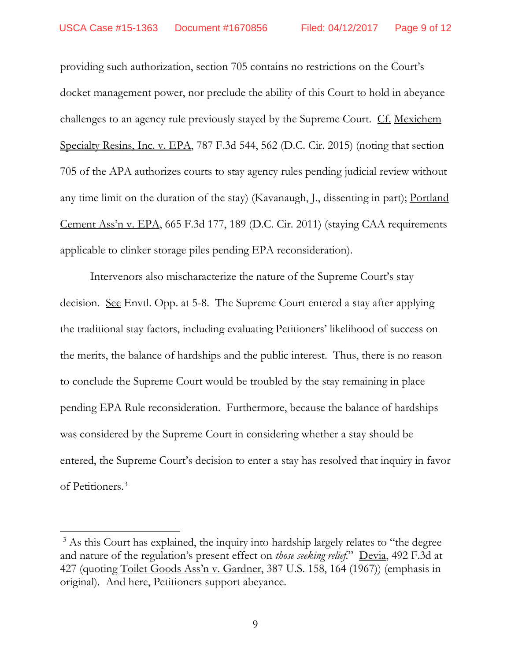providing such authorization, section 705 contains no restrictions on the Court's docket management power, nor preclude the ability of this Court to hold in abeyance challenges to an agency rule previously stayed by the Supreme Court. Cf. Mexichem Specialty Resins, Inc. v. EPA, 787 F.3d 544, 562 (D.C. Cir. 2015) (noting that section 705 of the APA authorizes courts to stay agency rules pending judicial review without any time limit on the duration of the stay) (Kavanaugh, J., dissenting in part); Portland Cement Ass'n v. EPA, 665 F.3d 177, 189 (D.C. Cir. 2011) (staying CAA requirements applicable to clinker storage piles pending EPA reconsideration).

Intervenors also mischaracterize the nature of the Supreme Court's stay decision. See Envtl. Opp. at 5-8. The Supreme Court entered a stay after applying the traditional stay factors, including evaluating Petitioners' likelihood of success on the merits, the balance of hardships and the public interest. Thus, there is no reason to conclude the Supreme Court would be troubled by the stay remaining in place pending EPA Rule reconsideration. Furthermore, because the balance of hardships was considered by the Supreme Court in considering whether a stay should be entered, the Supreme Court's decision to enter a stay has resolved that inquiry in favor of Petitioners. [3](#page-8-0)

<span id="page-8-0"></span><sup>&</sup>lt;sup>3</sup> As this Court has explained, the inquiry into hardship largely relates to "the degree" and nature of the regulation's present effect on *those seeking relief*." Devia, 492 F.3d at 427 (quoting Toilet Goods Ass'n v. Gardner, 387 U.S. 158, 164 (1967)) (emphasis in original). And here, Petitioners support abeyance.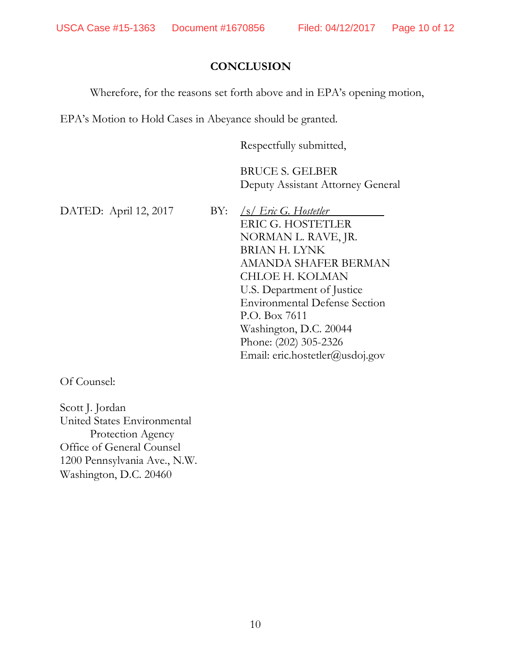## **CONCLUSION**

Wherefore, for the reasons set forth above and in EPA's opening motion,

EPA's Motion to Hold Cases in Abeyance should be granted.

Respectfully submitted,

BRUCE S. GELBER Deputy Assistant Attorney General

DATED: April 12, 2017 BY: */s/ Eric G. Hostetler* 

ERIC G. HOSTETLER NORMAN L. RAVE, JR. BRIAN H. LYNK AMANDA SHAFER BERMAN CHLOE H. KOLMAN U.S. Department of Justice Environmental Defense Section P.O. Box 7611 Washington, D.C. 20044 Phone: (202) 305-2326 Email: eric.hostetler@usdoj.gov

Of Counsel:

Scott J. Jordan United States Environmental Protection Agency Office of General Counsel 1200 Pennsylvania Ave., N.W. Washington, D.C. 20460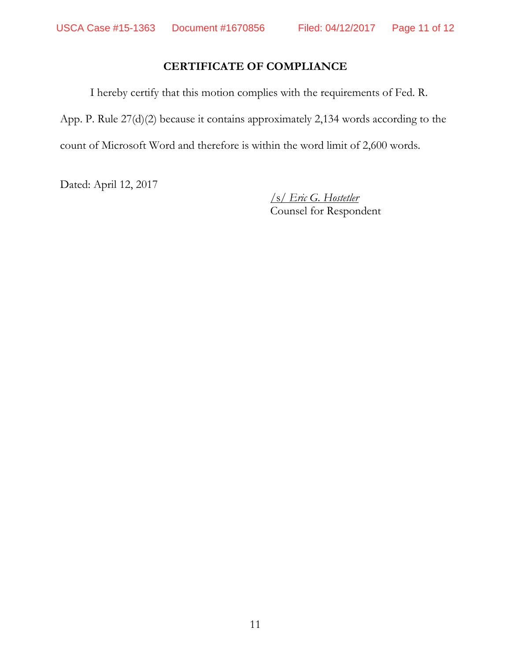# **CERTIFICATE OF COMPLIANCE**

I hereby certify that this motion complies with the requirements of Fed. R. App. P. Rule 27(d)(2) because it contains approximately 2,134 words according to the count of Microsoft Word and therefore is within the word limit of 2,600 words.

Dated: April 12, 2017

/s/ *Eric G. Hostetler* Counsel for Respondent